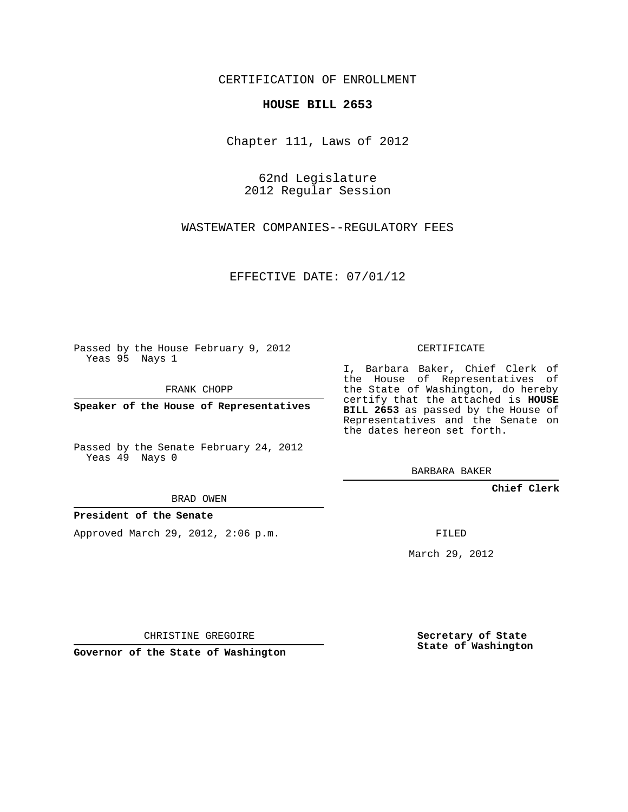CERTIFICATION OF ENROLLMENT

## **HOUSE BILL 2653**

Chapter 111, Laws of 2012

62nd Legislature 2012 Regular Session

WASTEWATER COMPANIES--REGULATORY FEES

EFFECTIVE DATE: 07/01/12

Passed by the House February 9, 2012 Yeas 95 Nays 1

FRANK CHOPP

**Speaker of the House of Representatives**

Passed by the Senate February 24, 2012 Yeas 49 Nays 0

BRAD OWEN

## **President of the Senate**

Approved March 29, 2012, 2:06 p.m.

CERTIFICATE

I, Barbara Baker, Chief Clerk of the House of Representatives of the State of Washington, do hereby certify that the attached is **HOUSE BILL 2653** as passed by the House of Representatives and the Senate on the dates hereon set forth.

BARBARA BAKER

**Chief Clerk**

FILED

March 29, 2012

CHRISTINE GREGOIRE

**Governor of the State of Washington**

**Secretary of State State of Washington**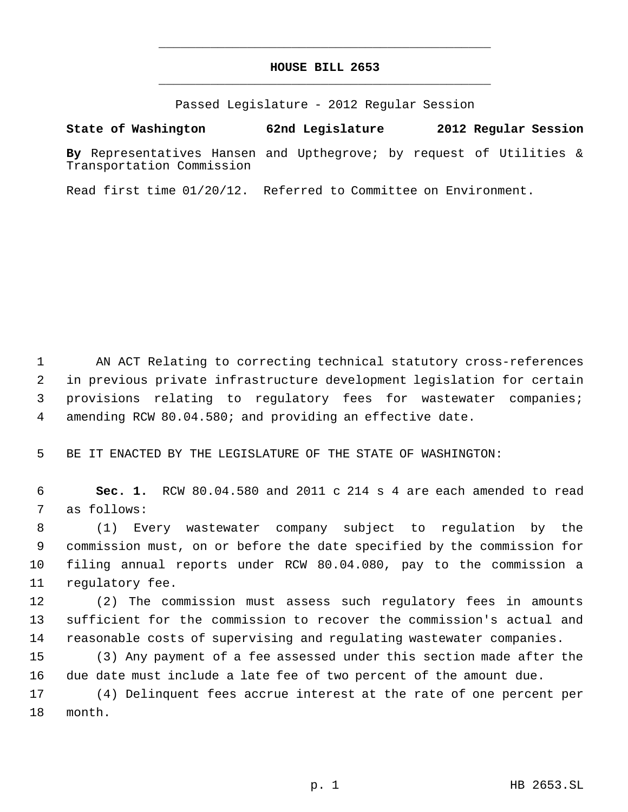## **HOUSE BILL 2653** \_\_\_\_\_\_\_\_\_\_\_\_\_\_\_\_\_\_\_\_\_\_\_\_\_\_\_\_\_\_\_\_\_\_\_\_\_\_\_\_\_\_\_\_\_

\_\_\_\_\_\_\_\_\_\_\_\_\_\_\_\_\_\_\_\_\_\_\_\_\_\_\_\_\_\_\_\_\_\_\_\_\_\_\_\_\_\_\_\_\_

Passed Legislature - 2012 Regular Session

## **State of Washington 62nd Legislature 2012 Regular Session**

**By** Representatives Hansen and Upthegrove; by request of Utilities & Transportation Commission

Read first time 01/20/12. Referred to Committee on Environment.

 AN ACT Relating to correcting technical statutory cross-references in previous private infrastructure development legislation for certain provisions relating to regulatory fees for wastewater companies; amending RCW 80.04.580; and providing an effective date.

BE IT ENACTED BY THE LEGISLATURE OF THE STATE OF WASHINGTON:

 **Sec. 1.** RCW 80.04.580 and 2011 c 214 s 4 are each amended to read as follows:

 (1) Every wastewater company subject to regulation by the commission must, on or before the date specified by the commission for filing annual reports under RCW 80.04.080, pay to the commission a regulatory fee.

 (2) The commission must assess such regulatory fees in amounts sufficient for the commission to recover the commission's actual and reasonable costs of supervising and regulating wastewater companies.

 (3) Any payment of a fee assessed under this section made after the due date must include a late fee of two percent of the amount due.

 (4) Delinquent fees accrue interest at the rate of one percent per month.